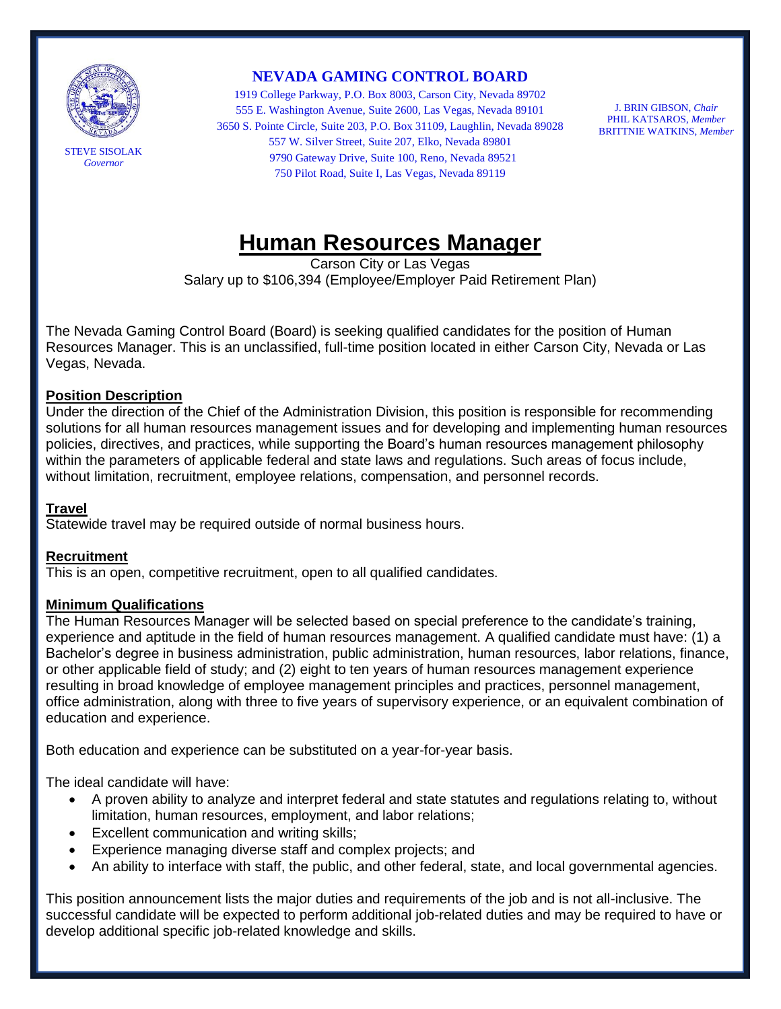

*Governor*

**NEVADA GAMING CONTROL BOARD**

1919 College Parkway, P.O. Box 8003, Carson City, Nevada 89702 555 E. Washington Avenue, Suite 2600, Las Vegas, Nevada 89101 3650 S. Pointe Circle, Suite 203, P.O. Box 31109, Laughlin, Nevada 89028 557 W. Silver Street, Suite 207, Elko, Nevada 89801 9790 Gateway Drive, Suite 100, Reno, Nevada 89521 750 Pilot Road, Suite I, Las Vegas, Nevada 89119

J. BRIN GIBSON, *Chair* PHIL KATSAROS, *Member* BRITTNIE WATKINS, *Member*

# **Human Resources Manager**

Carson City or Las Vegas Salary up to \$106,394 (Employee/Employer Paid Retirement Plan)

The Nevada Gaming Control Board (Board) is seeking qualified candidates for the position of Human Resources Manager. This is an unclassified, full-time position located in either Carson City, Nevada or Las Vegas, Nevada.

# **Position Description**

Under the direction of the Chief of the Administration Division, this position is responsible for recommending solutions for all human resources management issues and for developing and implementing human resources policies, directives, and practices, while supporting the Board's human resources management philosophy within the parameters of applicable federal and state laws and regulations. Such areas of focus include, without limitation, recruitment, employee relations, compensation, and personnel records.

#### **Travel**

Statewide travel may be required outside of normal business hours.

#### **Recruitment**

This is an open, competitive recruitment, open to all qualified candidates.

#### **Minimum Qualifications**

The Human Resources Manager will be selected based on special preference to the candidate's training, experience and aptitude in the field of human resources management. A qualified candidate must have: (1) a Bachelor's degree in business administration, public administration, human resources, labor relations, finance, or other applicable field of study; and (2) eight to ten years of human resources management experience resulting in broad knowledge of employee management principles and practices, personnel management, office administration, along with three to five years of supervisory experience, or an equivalent combination of education and experience.

Both education and experience can be substituted on a year-for-year basis.

The ideal candidate will have:

- A proven ability to analyze and interpret federal and state statutes and regulations relating to, without limitation, human resources, employment, and labor relations;
- Excellent communication and writing skills;
- Experience managing diverse staff and complex projects; and
- An ability to interface with staff, the public, and other federal, state, and local governmental agencies.

This position announcement lists the major duties and requirements of the job and is not all-inclusive. The successful candidate will be expected to perform additional job-related duties and may be required to have or develop additional specific job-related knowledge and skills.